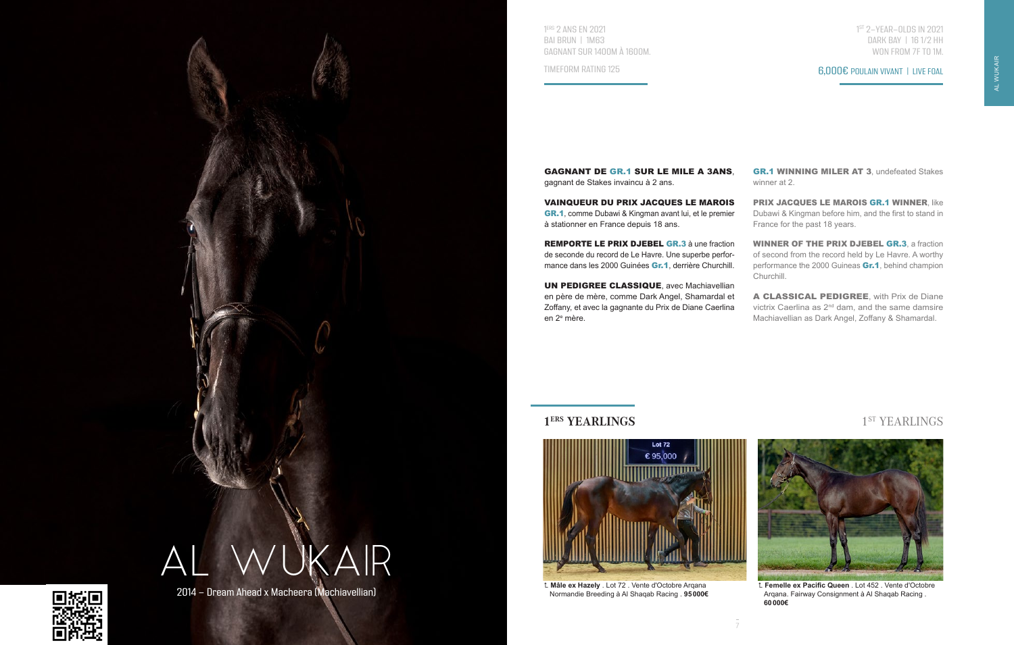

2014 - Dream Ahead x Macheera (Machiavellian)

1 ERS 2 ANS EN 2021 BAI BRUN | 1M63 GAGNANT SUR 1400M À 1600M.

TIMEFORM RATING 125

1 ST 2-YEAR-OLDS IN 2021 DARK BAY | 16 1/2 HH WON FROM 7F TO 1M.

GAGNANT DE GR.1 SUR LE MILE A 3ANS, gagnant de Stakes invaincu à 2 ans.

VAINQUEUR DU PRIX JACQUES LE MAROIS GR.1, comme Dubawi & Kingman avant lui, et le premier à stationner en France depuis 18 ans.

REMPORTE LE PRIX DJEBEL GR.3 à une fraction de seconde du record de Le Havre. Une superbe performance dans les 2000 Guinées Gr.1, derrière Churchill.

UN PEDIGREE CLASSIQUE, avec Machiavellian en père de mère, comme Dark Angel, Shamardal et Zoffany, et avec la gagnante du Prix de Diane Caerlina en 2e mère.

GR.1 WINNING MILER AT 3, undefeated Stakes winner at 2.

PRIX JACQUES LE MAROIS GR.1 WINNER, like Dubawi & Kingman before him, and the first to stand in France for the past 18 years.

WINNER OF THE PRIX DJEBEL GR.3, a fraction of second from the record held by Le Havre. A worthy performance the 2000 Guineas **Gr.1**, behind champion Churchill.

A CLASSICAL PEDIGREE, with Prix de Diane victrix Caerlina as 2<sup>nd</sup> dam, and the same damsire Machiavellian as Dark Angel, Zoffany & Shamardal.

## **1<sup>ERS</sup> YEARLINGS** 1<sup>ST</sup> YEARLINGS



 **Mâle ex Hazely** . Lot 72 . Vente d'Octobre Arqana Normandie Breeding à Al Shaqab Racing . **95000€**



 **Femelle ex Pacific Queen** . Lot 452 . Vente d'Octobre Arqana. Fairway Consignment à Al Shaqab Racing . **60000€**